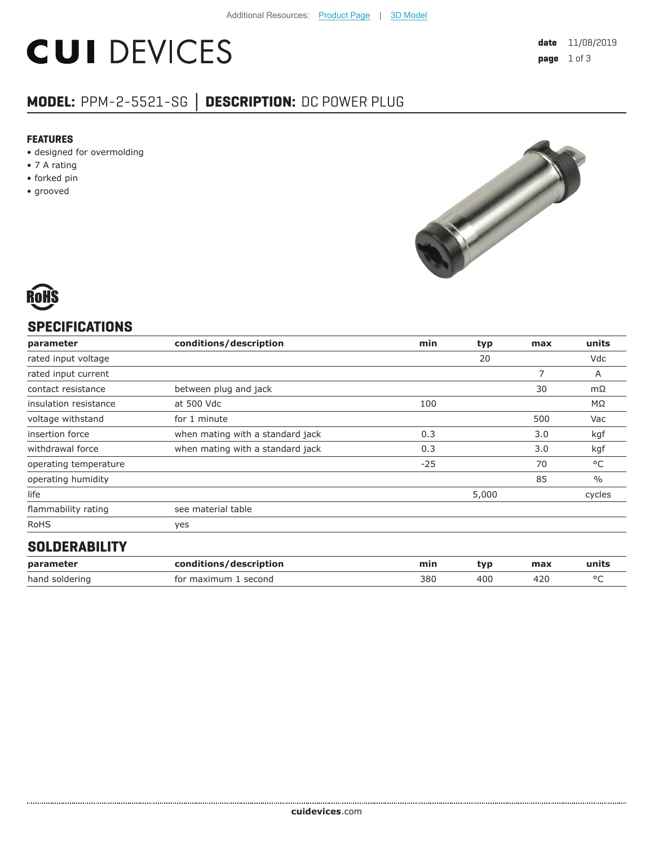# **CUI DEVICES**

# **MODEL:** PPM-2-5521-SG **│ DESCRIPTION:** DC POWER PLUG

#### **FEATURES**

- designed for overmolding
- 7 A rating
- forked pin
- grooved





# **SPECIFICATIONS**

| parameter             | conditions/description           | min   | typ   | max | units         |
|-----------------------|----------------------------------|-------|-------|-----|---------------|
| rated input voltage   |                                  |       | 20    |     | Vdc           |
| rated input current   |                                  |       |       | 7   | A             |
| contact resistance    | between plug and jack            |       |       | 30  | $m\Omega$     |
| insulation resistance | at 500 Vdc                       | 100   |       |     | ΜΩ            |
| voltage withstand     | for 1 minute                     |       |       | 500 | Vac           |
| insertion force       | when mating with a standard jack | 0.3   |       | 3.0 | kgf           |
| withdrawal force      | when mating with a standard jack | 0.3   |       | 3.0 | kgf           |
| operating temperature |                                  | $-25$ |       | 70  | °C            |
| operating humidity    |                                  |       |       | 85  | $\frac{0}{0}$ |
| life                  |                                  |       | 5,000 |     | cycles        |
| flammability rating   | see material table               |       |       |     |               |
| <b>RoHS</b>           | yes                              |       |       |     |               |
| AALBEBARILITY         |                                  |       |       |     |               |

#### **SOLDERABILITY**

| parameter      | conditions/description | mir. | tvr | max | units  |
|----------------|------------------------|------|-----|-----|--------|
| hand soldering | for maximum<br>second  | 380  | 400 | 42u | $\sim$ |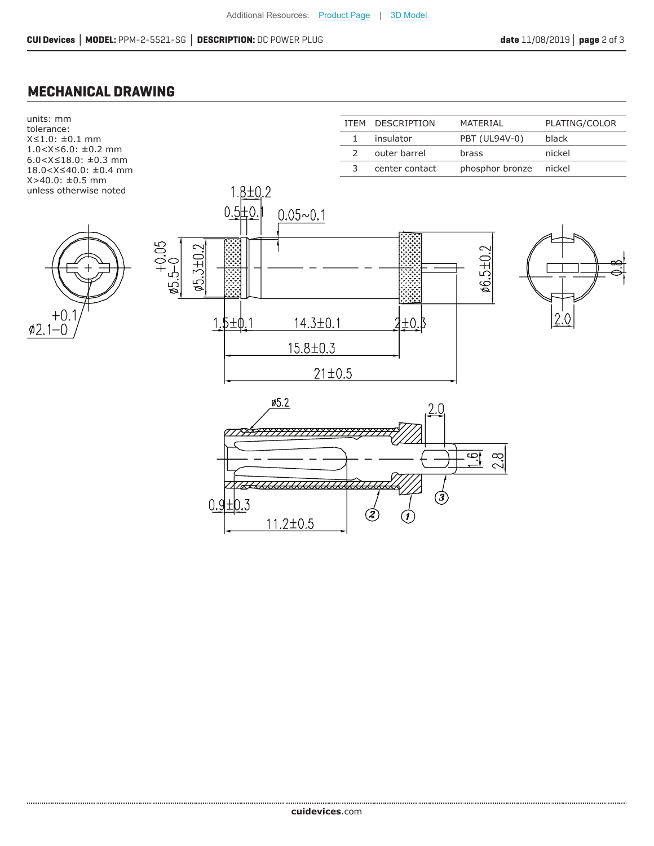## **MECHANICAL DRAWING**